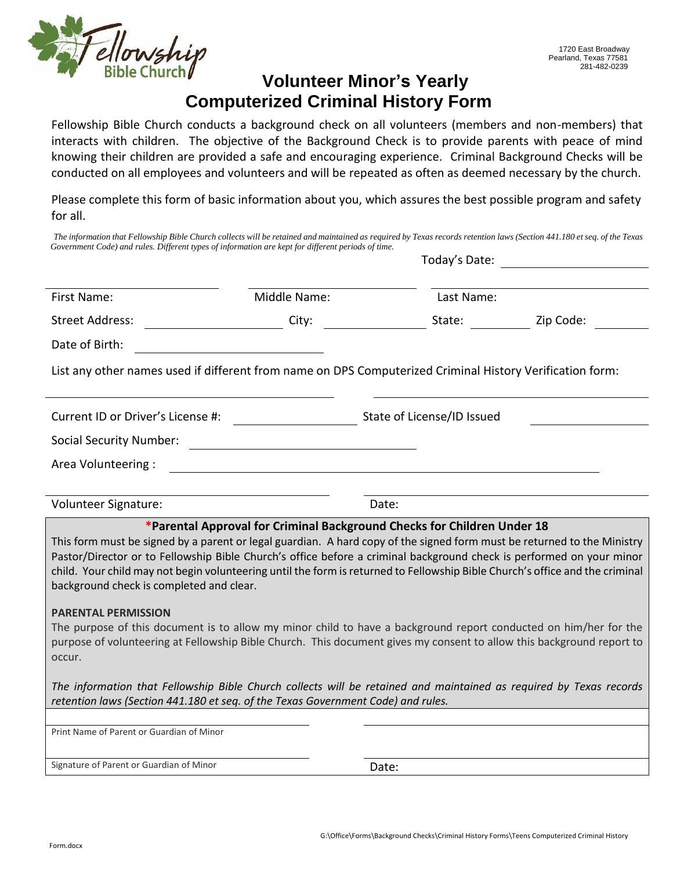

## **Volunteer Minor's Yearly Computerized Criminal History Form**

Fellowship Bible Church conducts a background check on all volunteers (members and non-members) that interacts with children. The objective of the Background Check is to provide parents with peace of mind knowing their children are provided a safe and encouraging experience. Criminal Background Checks will be conducted on all employees and volunteers and will be repeated as often as deemed necessary by the church.

Please complete this form of basic information about you, which assures the best possible program and safety for all.

| The information that Fellowship Bible Church collects will be retained and maintained as required by Texas records retention laws (Section 441.180 et seq. of the Texas<br>Government Code) and rules. Different types of information are kept for different periods of time.                                                                                                                                               |                                                                         |                            | Today's Date: |            |  |  |
|-----------------------------------------------------------------------------------------------------------------------------------------------------------------------------------------------------------------------------------------------------------------------------------------------------------------------------------------------------------------------------------------------------------------------------|-------------------------------------------------------------------------|----------------------------|---------------|------------|--|--|
| First Name:                                                                                                                                                                                                                                                                                                                                                                                                                 | Middle Name:                                                            |                            |               | Last Name: |  |  |
| <b>Street Address:</b>                                                                                                                                                                                                                                                                                                                                                                                                      | City:                                                                   |                            | State:        | Zip Code:  |  |  |
| Date of Birth:                                                                                                                                                                                                                                                                                                                                                                                                              |                                                                         |                            |               |            |  |  |
| List any other names used if different from name on DPS Computerized Criminal History Verification form:                                                                                                                                                                                                                                                                                                                    |                                                                         |                            |               |            |  |  |
| Current ID or Driver's License #:                                                                                                                                                                                                                                                                                                                                                                                           |                                                                         | State of License/ID Issued |               |            |  |  |
| <b>Social Security Number:</b>                                                                                                                                                                                                                                                                                                                                                                                              |                                                                         |                            |               |            |  |  |
| Area Volunteering :                                                                                                                                                                                                                                                                                                                                                                                                         |                                                                         |                            |               |            |  |  |
|                                                                                                                                                                                                                                                                                                                                                                                                                             |                                                                         |                            |               |            |  |  |
| Volunteer Signature:                                                                                                                                                                                                                                                                                                                                                                                                        |                                                                         | Date:                      |               |            |  |  |
| This form must be signed by a parent or legal guardian. A hard copy of the signed form must be returned to the Ministry<br>Pastor/Director or to Fellowship Bible Church's office before a criminal background check is performed on your minor<br>child. Your child may not begin volunteering until the form is returned to Fellowship Bible Church's office and the criminal<br>background check is completed and clear. | *Parental Approval for Criminal Background Checks for Children Under 18 |                            |               |            |  |  |
| <b>PARENTAL PERMISSION</b><br>The purpose of this document is to allow my minor child to have a background report conducted on him/her for the<br>purpose of volunteering at Fellowship Bible Church. This document gives my consent to allow this background report to<br>occur.                                                                                                                                           |                                                                         |                            |               |            |  |  |
| The information that Fellowship Bible Church collects will be retained and maintained as required by Texas records<br>retention laws (Section 441.180 et seq. of the Texas Government Code) and rules.                                                                                                                                                                                                                      |                                                                         |                            |               |            |  |  |
| Print Name of Parent or Guardian of Minor                                                                                                                                                                                                                                                                                                                                                                                   |                                                                         |                            |               |            |  |  |
|                                                                                                                                                                                                                                                                                                                                                                                                                             |                                                                         |                            |               |            |  |  |
| Signature of Parent or Guardian of Minor                                                                                                                                                                                                                                                                                                                                                                                    |                                                                         | Date:                      |               |            |  |  |